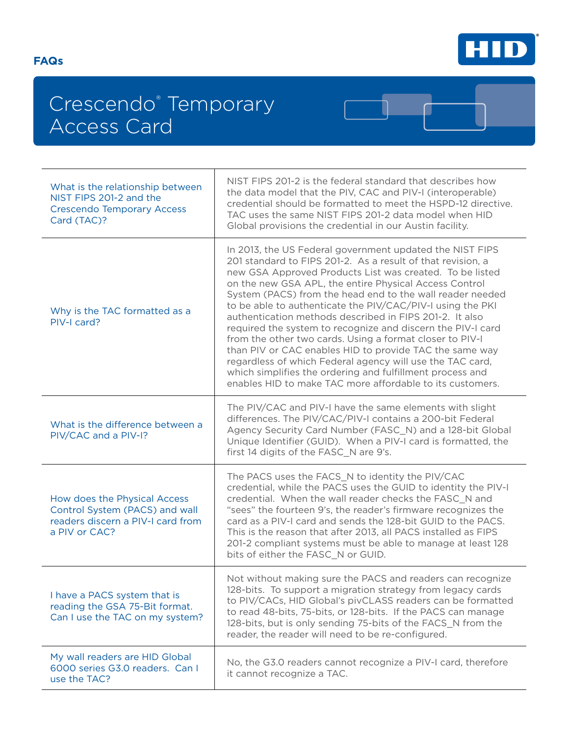

 $\mathbf 1$ 

## Crescendo® Temporary Access Card

| What is the relationship between<br>NIST FIPS 201-2 and the<br><b>Crescendo Temporary Access</b><br>Card (TAC)?      | NIST FIPS 201-2 is the federal standard that describes how<br>the data model that the PIV, CAC and PIV-I (interoperable)<br>credential should be formatted to meet the HSPD-12 directive.<br>TAC uses the same NIST FIPS 201-2 data model when HID<br>Global provisions the credential in our Austin facility.                                                                                                                                                                                                                                                                                                                                                                                                                                                                                                   |
|----------------------------------------------------------------------------------------------------------------------|------------------------------------------------------------------------------------------------------------------------------------------------------------------------------------------------------------------------------------------------------------------------------------------------------------------------------------------------------------------------------------------------------------------------------------------------------------------------------------------------------------------------------------------------------------------------------------------------------------------------------------------------------------------------------------------------------------------------------------------------------------------------------------------------------------------|
| Why is the TAC formatted as a<br>PIV-I card?                                                                         | In 2013, the US Federal government updated the NIST FIPS<br>201 standard to FIPS 201-2. As a result of that revision, a<br>new GSA Approved Products List was created. To be listed<br>on the new GSA APL, the entire Physical Access Control<br>System (PACS) from the head end to the wall reader needed<br>to be able to authenticate the PIV/CAC/PIV-I using the PKI<br>authentication methods described in FIPS 201-2. It also<br>required the system to recognize and discern the PIV-I card<br>from the other two cards. Using a format closer to PIV-I<br>than PIV or CAC enables HID to provide TAC the same way<br>regardless of which Federal agency will use the TAC card,<br>which simplifies the ordering and fulfillment process and<br>enables HID to make TAC more affordable to its customers. |
| What is the difference between a<br>PIV/CAC and a PIV-I?                                                             | The PIV/CAC and PIV-I have the same elements with slight<br>differences. The PIV/CAC/PIV-I contains a 200-bit Federal<br>Agency Security Card Number (FASC_N) and a 128-bit Global<br>Unique Identifier (GUID). When a PIV-I card is formatted, the<br>first 14 digits of the FASC_N are 9's.                                                                                                                                                                                                                                                                                                                                                                                                                                                                                                                    |
| How does the Physical Access<br>Control System (PACS) and wall<br>readers discern a PIV-I card from<br>a PIV or CAC? | The PACS uses the FACS_N to identity the PIV/CAC<br>credential, while the PACS uses the GUID to identity the PIV-I<br>credential. When the wall reader checks the FASC_N and<br>"sees" the fourteen 9's, the reader's firmware recognizes the<br>card as a PIV-I card and sends the 128-bit GUID to the PACS.<br>This is the reason that after 2013, all PACS installed as FIPS<br>201-2 compliant systems must be able to manage at least 128<br>bits of either the FASC_N or GUID.                                                                                                                                                                                                                                                                                                                             |
| I have a PACS system that is<br>reading the GSA 75-Bit format.<br>Can I use the TAC on my system?                    | Not without making sure the PACS and readers can recognize<br>128-bits. To support a migration strategy from legacy cards<br>to PIV/CACs, HID Global's pivCLASS readers can be formatted<br>to read 48-bits, 75-bits, or 128-bits. If the PACS can manage<br>128-bits, but is only sending 75-bits of the FACS_N from the<br>reader, the reader will need to be re-configured.                                                                                                                                                                                                                                                                                                                                                                                                                                   |
| My wall readers are HID Global<br>6000 series G3.0 readers. Can I<br>use the TAC?                                    | No, the G3.0 readers cannot recognize a PIV-I card, therefore<br>it cannot recognize a TAC.                                                                                                                                                                                                                                                                                                                                                                                                                                                                                                                                                                                                                                                                                                                      |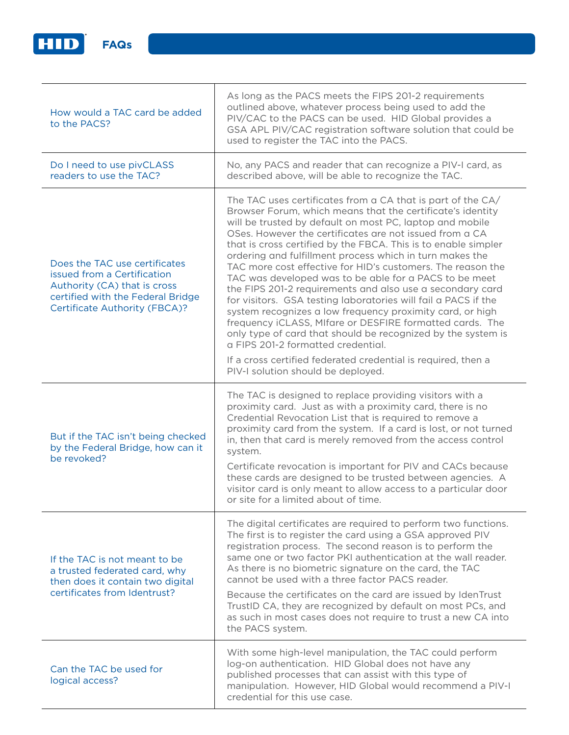

| How would a TAC card be added<br>to the PACS?                                                                                                                             | As long as the PACS meets the FIPS 201-2 requirements<br>outlined above, whatever process being used to add the<br>PIV/CAC to the PACS can be used. HID Global provides a<br>GSA APL PIV/CAC registration software solution that could be<br>used to register the TAC into the PACS.                                                                                                                                                                                                                                                                                                                                                                                                                                                                                                                                                                                                                                                                                         |
|---------------------------------------------------------------------------------------------------------------------------------------------------------------------------|------------------------------------------------------------------------------------------------------------------------------------------------------------------------------------------------------------------------------------------------------------------------------------------------------------------------------------------------------------------------------------------------------------------------------------------------------------------------------------------------------------------------------------------------------------------------------------------------------------------------------------------------------------------------------------------------------------------------------------------------------------------------------------------------------------------------------------------------------------------------------------------------------------------------------------------------------------------------------|
| Do I need to use pivCLASS<br>readers to use the TAC?                                                                                                                      | No, any PACS and reader that can recognize a PIV-I card, as<br>described above, will be able to recognize the TAC.                                                                                                                                                                                                                                                                                                                                                                                                                                                                                                                                                                                                                                                                                                                                                                                                                                                           |
| Does the TAC use certificates<br>issued from a Certification<br>Authority (CA) that is cross<br>certified with the Federal Bridge<br><b>Certificate Authority (FBCA)?</b> | The TAC uses certificates from a CA that is part of the CA/<br>Browser Forum, which means that the certificate's identity<br>will be trusted by default on most PC, laptop and mobile<br>OSes. However the certificates are not issued from a CA<br>that is cross certified by the FBCA. This is to enable simpler<br>ordering and fulfillment process which in turn makes the<br>TAC more cost effective for HID's customers. The reason the<br>TAC was developed was to be able for a PACS to be meet<br>the FIPS 201-2 requirements and also use a secondary card<br>for visitors. GSA testing laboratories will fail a PACS if the<br>system recognizes a low frequency proximity card, or high<br>frequency iCLASS, MIfare or DESFIRE formatted cards. The<br>only type of card that should be recognized by the system is<br>a FIPS 201-2 formatted credential.<br>If a cross certified federated credential is required, then a<br>PIV-I solution should be deployed. |
| But if the TAC isn't being checked<br>by the Federal Bridge, how can it<br>be revoked?                                                                                    | The TAC is designed to replace providing visitors with a<br>proximity card. Just as with a proximity card, there is no<br>Credential Revocation List that is required to remove a<br>proximity card from the system. If a card is lost, or not turned<br>in, then that card is merely removed from the access control<br>system.<br>Certificate revocation is important for PIV and CACs because<br>these cards are designed to be trusted between agencies. A<br>visitor card is only meant to allow access to a particular door<br>or site for a limited about of time.                                                                                                                                                                                                                                                                                                                                                                                                    |
| If the TAC is not meant to be<br>a trusted federated card, why<br>then does it contain two digital<br>certificates from Identrust?                                        | The digital certificates are required to perform two functions.<br>The first is to register the card using a GSA approved PIV<br>registration process. The second reason is to perform the<br>same one or two factor PKI authentication at the wall reader.<br>As there is no biometric signature on the card, the TAC<br>cannot be used with a three factor PACS reader.<br>Because the certificates on the card are issued by IdenTrust<br>TrustID CA, they are recognized by default on most PCs, and<br>as such in most cases does not require to trust a new CA into<br>the PACS system.                                                                                                                                                                                                                                                                                                                                                                                |
| Can the TAC be used for<br>logical access?                                                                                                                                | With some high-level manipulation, the TAC could perform<br>log-on authentication. HID Global does not have any<br>published processes that can assist with this type of<br>manipulation. However, HID Global would recommend a PIV-I<br>credential for this use case.                                                                                                                                                                                                                                                                                                                                                                                                                                                                                                                                                                                                                                                                                                       |